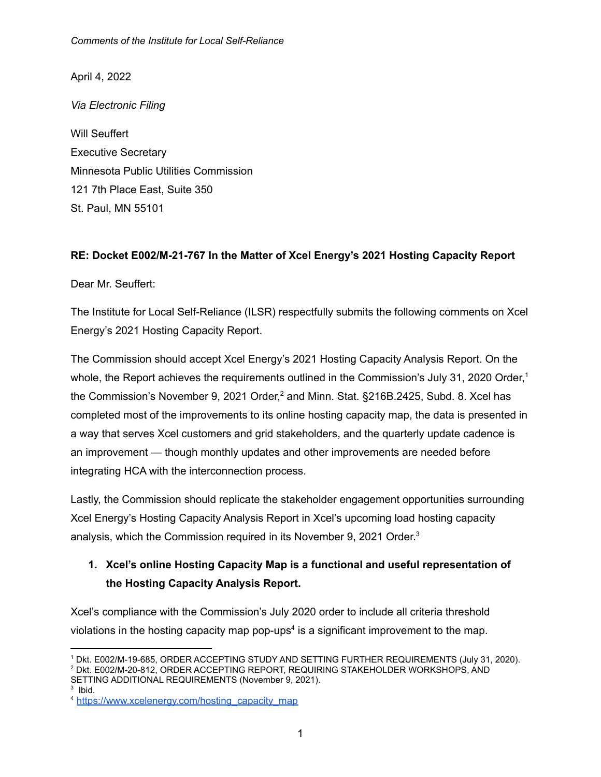April 4, 2022

*Via Electronic Filing*

Will Seuffert Executive Secretary Minnesota Public Utilities Commission 121 7th Place East, Suite 350 St. Paul, MN 55101

#### **RE: Docket E002/M-21-767 In the Matter of Xcel Energy's 2021 Hosting Capacity Report**

Dear Mr. Seuffert:

The Institute for Local Self-Reliance (ILSR) respectfully submits the following comments on Xcel Energy's 2021 Hosting Capacity Report.

The Commission should accept Xcel Energy's 2021 Hosting Capacity Analysis Report. On the whole, the Report achieves the requirements outlined in the Commission's July 31, 2020 Order,<sup>1</sup> the Commission's November 9, 2021 Order,<sup>2</sup> and Minn. Stat. §216B.2425, Subd. 8. Xcel has completed most of the improvements to its online hosting capacity map, the data is presented in a way that serves Xcel customers and grid stakeholders, and the quarterly update cadence is an improvement — though monthly updates and other improvements are needed before integrating HCA with the interconnection process.

Lastly, the Commission should replicate the stakeholder engagement opportunities surrounding Xcel Energy's Hosting Capacity Analysis Report in Xcel's upcoming load hosting capacity analysis, which the Commission required in its November 9, 2021 Order. 3

### **1. Xcel's online Hosting Capacity Map is a functional and useful representation of the Hosting Capacity Analysis Report.**

Xcel's compliance with the Commission's July 2020 order to include all criteria threshold violations in the hosting capacity map pop-ups<sup>4</sup> is a significant improvement to the map.

3 Ibid.

<sup>1</sup> Dkt. E002/M-19-685, ORDER ACCEPTING STUDY AND SETTING FURTHER REQUIREMENTS (July 31, 2020).

<sup>2</sup> Dkt. E002/M-20-812, ORDER ACCEPTING REPORT, REQUIRING STAKEHOLDER WORKSHOPS, AND SETTING ADDITIONAL REQUIREMENTS (November 9, 2021).

<sup>&</sup>lt;sup>4</sup> [https://www.xcelenergy.com/hosting\\_capacity\\_map](https://www.xcelenergy.com/hosting_capacity_map)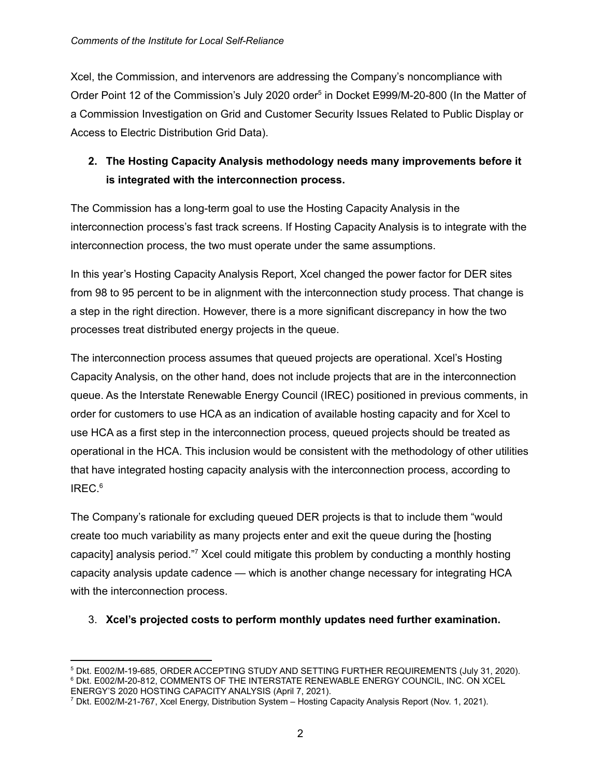Xcel, the Commission, and intervenors are addressing the Company's noncompliance with Order Point 12 of the Commission's July 2020 order<sup>5</sup> in Docket E999/M-20-800 (In the Matter of a Commission Investigation on Grid and Customer Security Issues Related to Public Display or Access to Electric Distribution Grid Data).

## **2. The Hosting Capacity Analysis methodology needs many improvements before it is integrated with the interconnection process.**

The Commission has a long-term goal to use the Hosting Capacity Analysis in the interconnection process's fast track screens. If Hosting Capacity Analysis is to integrate with the interconnection process, the two must operate under the same assumptions.

In this year's Hosting Capacity Analysis Report, Xcel changed the power factor for DER sites from 98 to 95 percent to be in alignment with the interconnection study process. That change is a step in the right direction. However, there is a more significant discrepancy in how the two processes treat distributed energy projects in the queue.

The interconnection process assumes that queued projects are operational. Xcel's Hosting Capacity Analysis, on the other hand, does not include projects that are in the interconnection queue. As the Interstate Renewable Energy Council (IREC) positioned in previous comments, in order for customers to use HCA as an indication of available hosting capacity and for Xcel to use HCA as a first step in the interconnection process, queued projects should be treated as operational in the HCA. This inclusion would be consistent with the methodology of other utilities that have integrated hosting capacity analysis with the interconnection process, according to IREC. 6

The Company's rationale for excluding queued DER projects is that to include them "would create too much variability as many projects enter and exit the queue during the [hosting capacity] analysis period."<sup>7</sup> Xcel could mitigate this problem by conducting a monthly hosting capacity analysis update cadence — which is another change necessary for integrating HCA with the interconnection process.

#### 3. **Xcel's projected costs to perform monthly updates need further examination.**

<sup>6</sup> Dkt. E002/M-20-812, COMMENTS OF THE INTERSTATE RENEWABLE ENERGY COUNCIL, INC. ON XCEL ENERGY'S 2020 HOSTING CAPACITY ANALYSIS (April 7, 2021). <sup>5</sup> Dkt. E002/M-19-685, ORDER ACCEPTING STUDY AND SETTING FURTHER REQUIREMENTS (July 31, 2020).

<sup>7</sup> Dkt. E002/M-21-767, Xcel Energy, Distribution System – Hosting Capacity Analysis Report (Nov. 1, 2021).